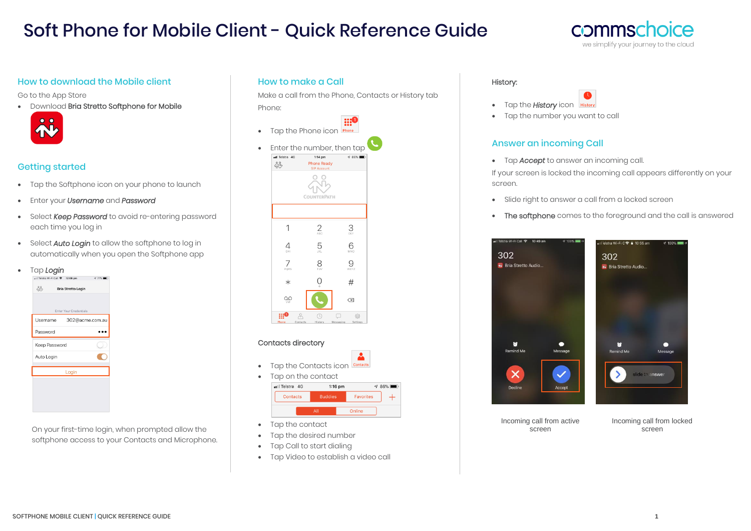## Soft Phone for Mobile Client - Quick Reference Guide

#### **COMMSC** hoice we simplify your journey to the cloud

#### How to download the Mobile client

Go to the App Store

• Download Bria Stretto Softphone for Mobile



## Getting started

- Tap the Softphone icon on your phone to launch
- Enter your *Username* and *Password*
- Select *Keep Password* to avoid re-entering password each time you log in
- Select *Auto Login* to allow the softphone to log in automatically when you open the Softphone app
- Tap *Login*

| Enter Your Credentials      |
|-----------------------------|
| Username<br>302@acme.com.au |
|                             |
| Keep Password               |
|                             |
| Login                       |
|                             |
|                             |
| <b>Bria Stretto Login</b>   |

On your first-time login, when prompted allow the softphone access to your Contacts and Microphone.

#### How to make a Call

Make a call from the Phone, Contacts or History tab Phone:

• Tap the Phone icon **Phone** Enter the number, then tap  $1:14 \text{ pm}$  $\sigma$  86% ನ್ನೊ **Phone Ready SIP Account**  $\overset{\circ}{\wedge}$ 

|                 |          | ٠<br>$\sim$<br><b>COUNTERPATH</b> |           |                |
|-----------------|----------|-----------------------------------|-----------|----------------|
|                 |          |                                   |           |                |
|                 |          | 2 <sub>ABC</sub>                  |           | 3 <sub>0</sub> |
| 4<br>GHI        |          |                                   | 6<br>MNO  |                |
| 7<br>PORS       |          |                                   | 9<br>WXYZ |                |
| $\ast$          |          | $\mathcal{O}_+$                   | #         |                |
| $Q_{\text{NN}}$ |          |                                   | $\infty$  |                |
|                 |          | Q                                 | □         | €              |
| Phone           | Contacts | History                           | Messaging | Settings       |

#### Contacts directory



- Tap the contact
- Tap the desired number
- Tap Call to start dialing
- Tap Video to establish a video call

#### History:



• Tap the number you want to call

## Answer an incoming Call

• Tap *Accept* to answer an incoming call.

If your screen is locked the incoming call appears differently on your screen.

- Slide right to answer a call from a locked screen
- The softphone comes to the foreground and the call is answered



Incoming call from active screen

Incoming call from locked screen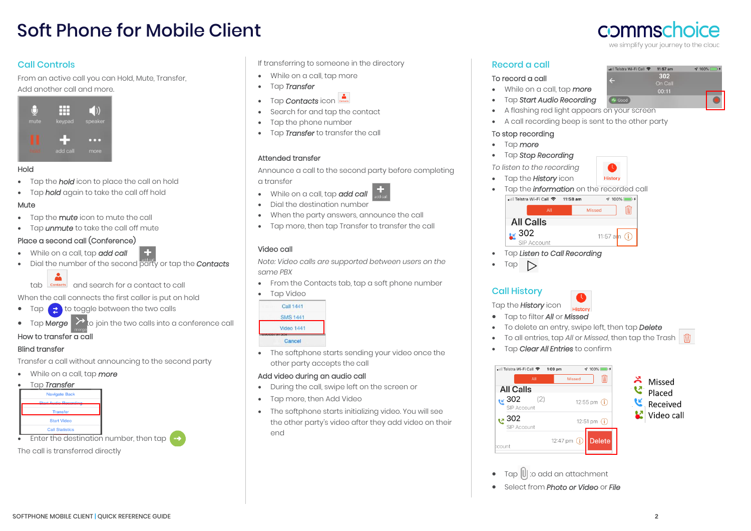# Soft Phone for Mobile Client

## Call Controls

From an active call you can Hold, Mute, Transfer, Add another call and more.



#### Hold

- Tap the *hold* icon to place the call on hold
- Tap *hold* again to take the call off hold

#### Mute

- Tap the m*ute* icon to mute the call
- Tap *unmute* to take the call off mute

## Place a second call (Conference)

- While on a call, tap *add call*
- Dial the number of the second party or tap the *Contacts*

tab contacts and search for a contact to call

When the call connects the first caller is put on hold

- Tap  $\epsilon$  to toggle between the two calls
- Tap Merge  $\triangleright$  to join the two calls into a conference call

## How to transfer a call

## Blind transfer

Transfer a call without announcing to the second party

## • While on a call, tap *more*



```
The call is transferred directly
```
If transferring to someone in the directory

- While on a call, tap more
- Tap *Transfer*
- Tap **Contacts** icon
- Search for and tap the contact
- Tap the phone number
- Tap *Transfer* to transfer the call

## Attended transfer

Announce a call to the second party before completing a transfer

- While on a call, tap *add call*
- Dial the destination number
- When the party answers, announce the call
- Tap more, then tap Transfer to transfer the call

## Video call

*Note: Video calls are supported between users on the same PBX*

- From the Contacts tab, tap a soft phone number
- Tap Video

| Call 1441         |  |
|-------------------|--|
| <b>SMS 1441</b>   |  |
| <b>Video 1441</b> |  |
| Cancel            |  |
|                   |  |

• The softphone starts sending your video once the other party accepts the call

## Add video during an audio call

- During the call, swipe left on the screen or
- Tap more, then Add Video
- The softphone starts initializing video. You will see the other party's video after they add video on their end

## Record a call

#### To record a call

- While on a call, tap *more*
- Tap *Start Audio Recording*
- A flashing red light appears on your screen
- A call recording beep is sent to the other party

#### To stop recording

- Tap *more*
- Tap *Stop Recording*
- *To listen to the recording*
- Tap the *History* icon
- Tap the *information* on the recorded call lill Telstra Wi-Fi Call  $\approx$  11:58 am  $\sqrt{100\%}$



- Tap *Listen to Call Recording*
- Tap  $\triangleright$

Call History Tap the *History* icon

- History • Tap to filter *All* or *Missed*
- To delete an entry, swipe left, then tap *Delete*
- To all entries, tap *All* or *Missed*, then tap the Trash
- Tap *Clear All Entries* to confirm



- Tap U to add an attachment
- Select from *Photo or Video* or *File*



302

 $\frac{9}{100\%}$ 

ull Telstra Wi-Fi Call  $\approx$  11:57 am

 $-4$  Good

**History**